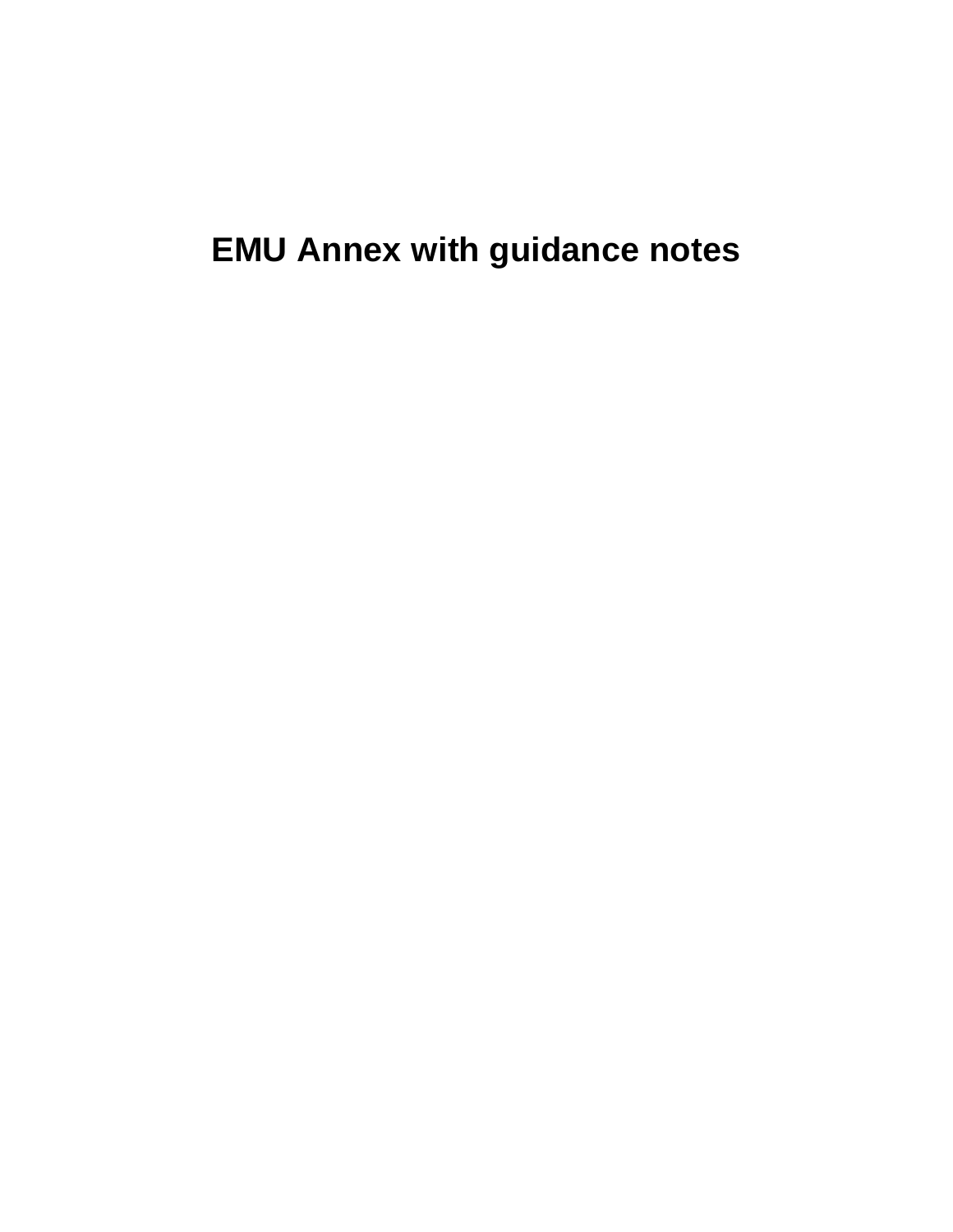**EMU Annex with guidance notes**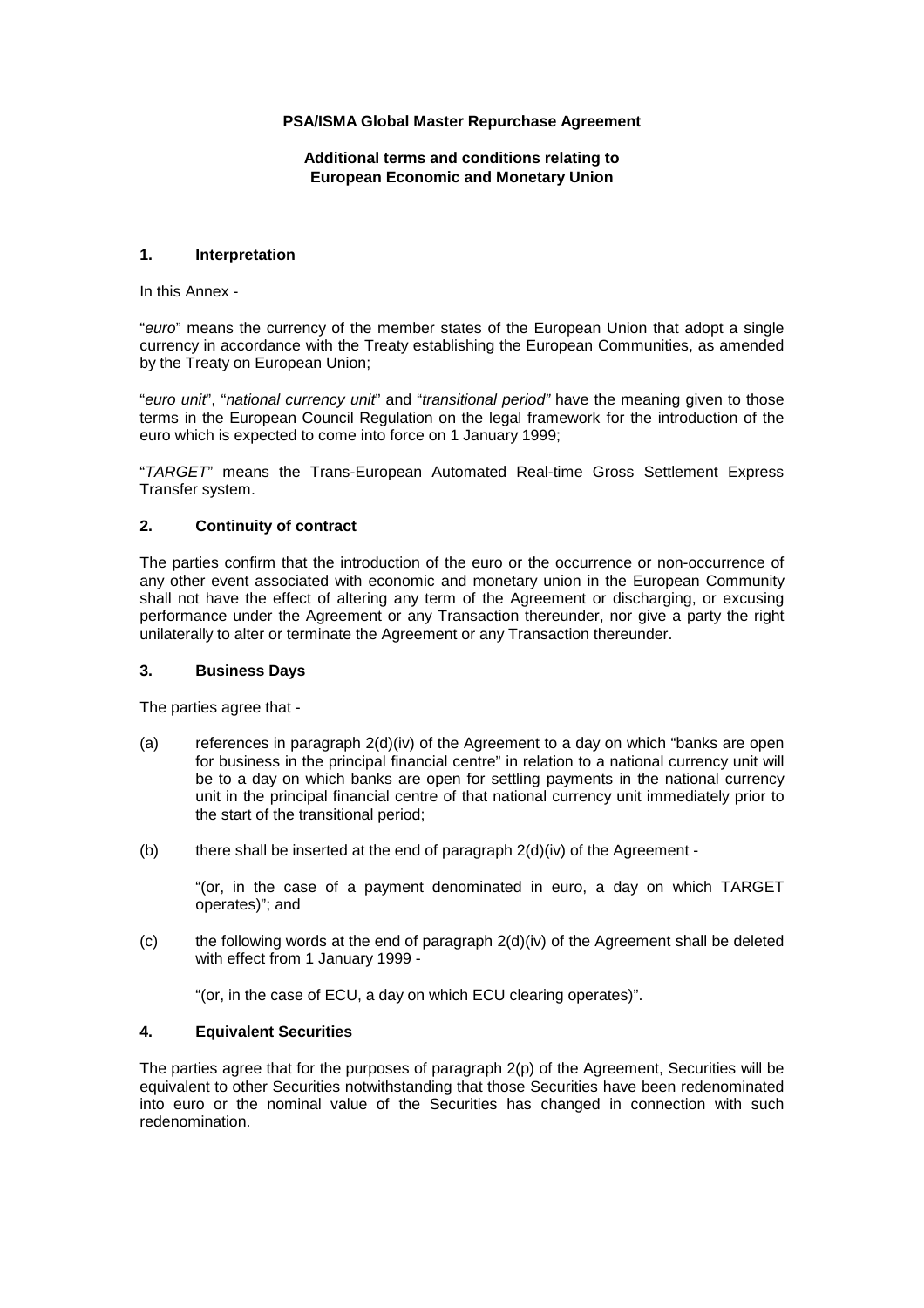# **PSA/ISMA Global Master Repurchase Agreement**

**Additional terms and conditions relating to European Economic and Monetary Union**

# **1. Interpretation**

In this Annex -

"*euro*" means the currency of the member states of the European Union that adopt a single currency in accordance with the Treaty establishing the European Communities, as amended by the Treaty on European Union;

"*euro unit*", "*national currency unit*" and "*transitional period"* have the meaning given to those terms in the European Council Regulation on the legal framework for the introduction of the euro which is expected to come into force on 1 January 1999;

"*TARGET*" means the Trans-European Automated Real-time Gross Settlement Express Transfer system.

## **2. Continuity of contract**

The parties confirm that the introduction of the euro or the occurrence or non-occurrence of any other event associated with economic and monetary union in the European Community shall not have the effect of altering any term of the Agreement or discharging, or excusing performance under the Agreement or any Transaction thereunder, nor give a party the right unilaterally to alter or terminate the Agreement or any Transaction thereunder.

# **3. Business Days**

The parties agree that -

- (a) references in paragraph 2(d)(iv) of the Agreement to a day on which "banks are open for business in the principal financial centre" in relation to a national currency unit will be to a day on which banks are open for settling payments in the national currency unit in the principal financial centre of that national currency unit immediately prior to the start of the transitional period;
- (b) there shall be inserted at the end of paragraph  $2(d)(iv)$  of the Agreement -

"(or, in the case of a payment denominated in euro, a day on which TARGET operates)"; and

(c) the following words at the end of paragraph 2(d)(iv) of the Agreement shall be deleted with effect from 1 January 1999 -

"(or, in the case of ECU, a day on which ECU clearing operates)".

## **4. Equivalent Securities**

The parties agree that for the purposes of paragraph 2(p) of the Agreement, Securities will be equivalent to other Securities notwithstanding that those Securities have been redenominated into euro or the nominal value of the Securities has changed in connection with such redenomination.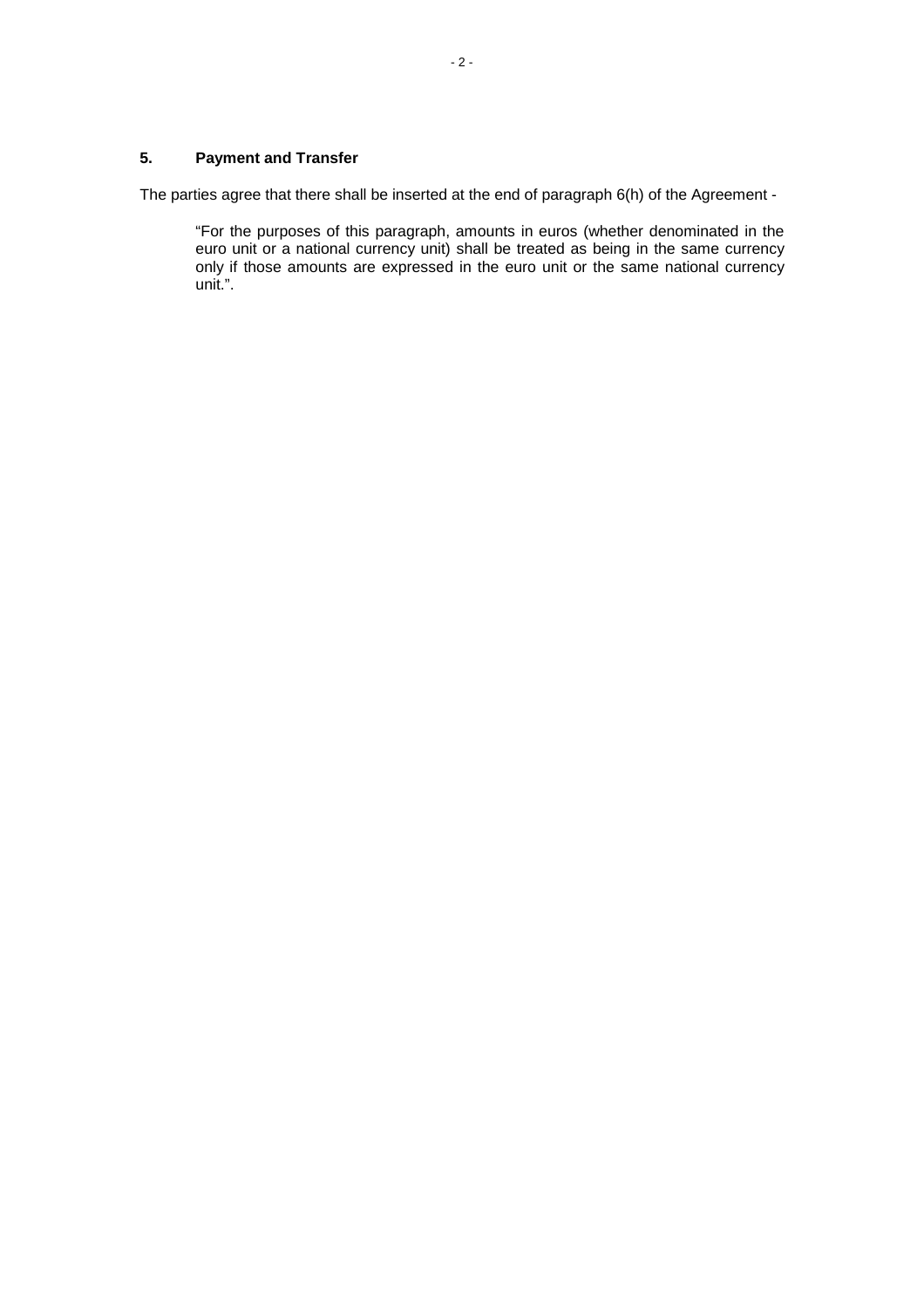# **5. Payment and Transfer**

The parties agree that there shall be inserted at the end of paragraph 6(h) of the Agreement -

"For the purposes of this paragraph, amounts in euros (whether denominated in the euro unit or a national currency unit) shall be treated as being in the same currency only if those amounts are expressed in the euro unit or the same national currency unit.".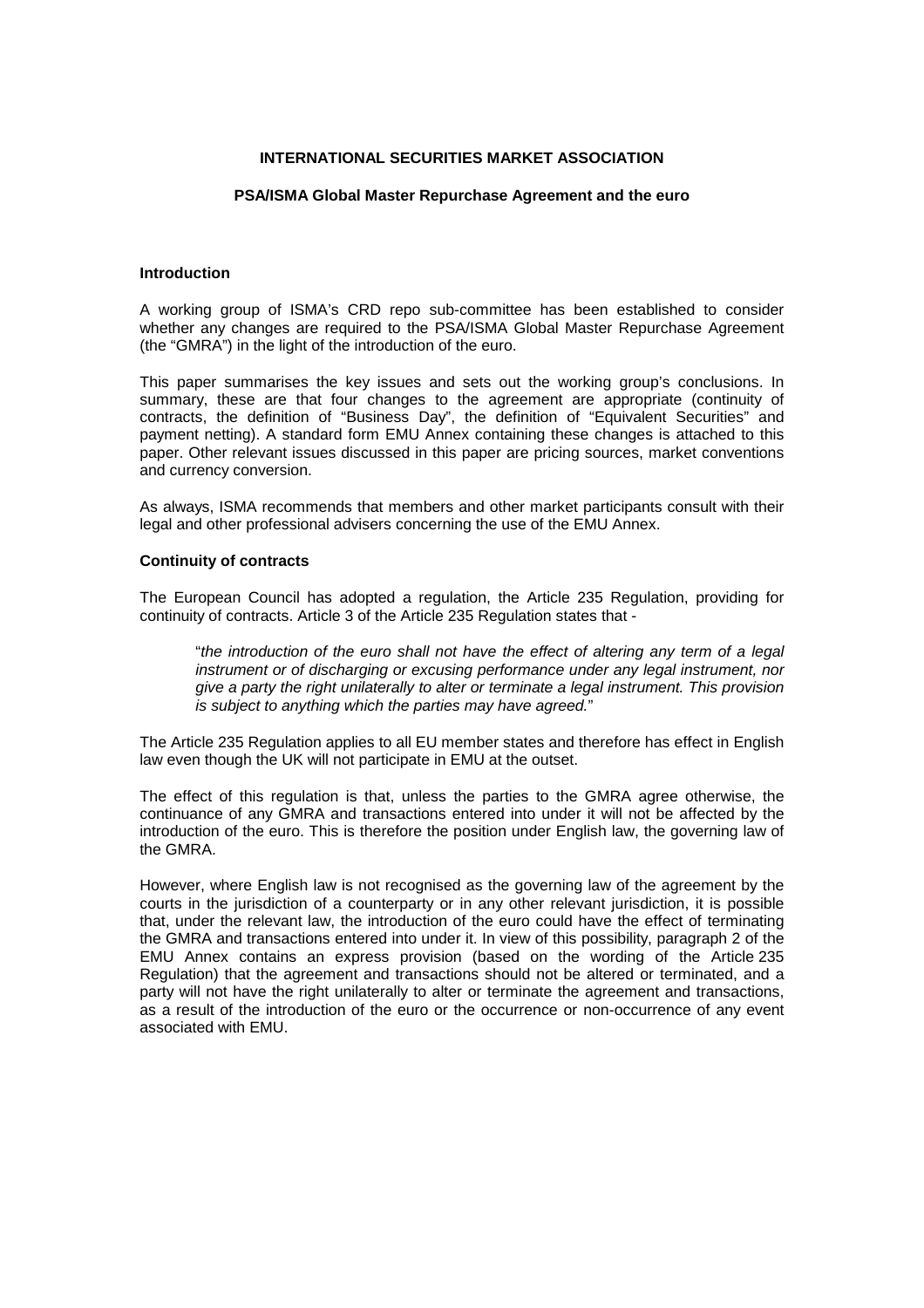### **INTERNATIONAL SECURITIES MARKET ASSOCIATION**

#### **PSA/ISMA Global Master Repurchase Agreement and the euro**

### **Introduction**

A working group of ISMA's CRD repo sub-committee has been established to consider whether any changes are required to the PSA/ISMA Global Master Repurchase Agreement (the "GMRA") in the light of the introduction of the euro.

This paper summarises the key issues and sets out the working group's conclusions. In summary, these are that four changes to the agreement are appropriate (continuity of contracts, the definition of "Business Day", the definition of "Equivalent Securities" and payment netting). A standard form EMU Annex containing these changes is attached to this paper. Other relevant issues discussed in this paper are pricing sources, market conventions and currency conversion.

As always, ISMA recommends that members and other market participants consult with their legal and other professional advisers concerning the use of the EMU Annex.

### **Continuity of contracts**

The European Council has adopted a regulation, the Article 235 Regulation, providing for continuity of contracts. Article 3 of the Article 235 Regulation states that -

"*the introduction of the euro shall not have the effect of altering any term of a legal instrument or of discharging or excusing performance under any legal instrument, nor give a party the right unilaterally to alter or terminate a legal instrument. This provision is subject to anything which the parties may have agreed.*"

The Article 235 Regulation applies to all EU member states and therefore has effect in English law even though the UK will not participate in EMU at the outset.

The effect of this regulation is that, unless the parties to the GMRA agree otherwise, the continuance of any GMRA and transactions entered into under it will not be affected by the introduction of the euro. This is therefore the position under English law, the governing law of the GMRA.

However, where English law is not recognised as the governing law of the agreement by the courts in the jurisdiction of a counterparty or in any other relevant jurisdiction, it is possible that, under the relevant law, the introduction of the euro could have the effect of terminating the GMRA and transactions entered into under it. In view of this possibility, paragraph 2 of the EMU Annex contains an express provision (based on the wording of the Article 235 Regulation) that the agreement and transactions should not be altered or terminated, and a party will not have the right unilaterally to alter or terminate the agreement and transactions, as a result of the introduction of the euro or the occurrence or non-occurrence of any event associated with EMU.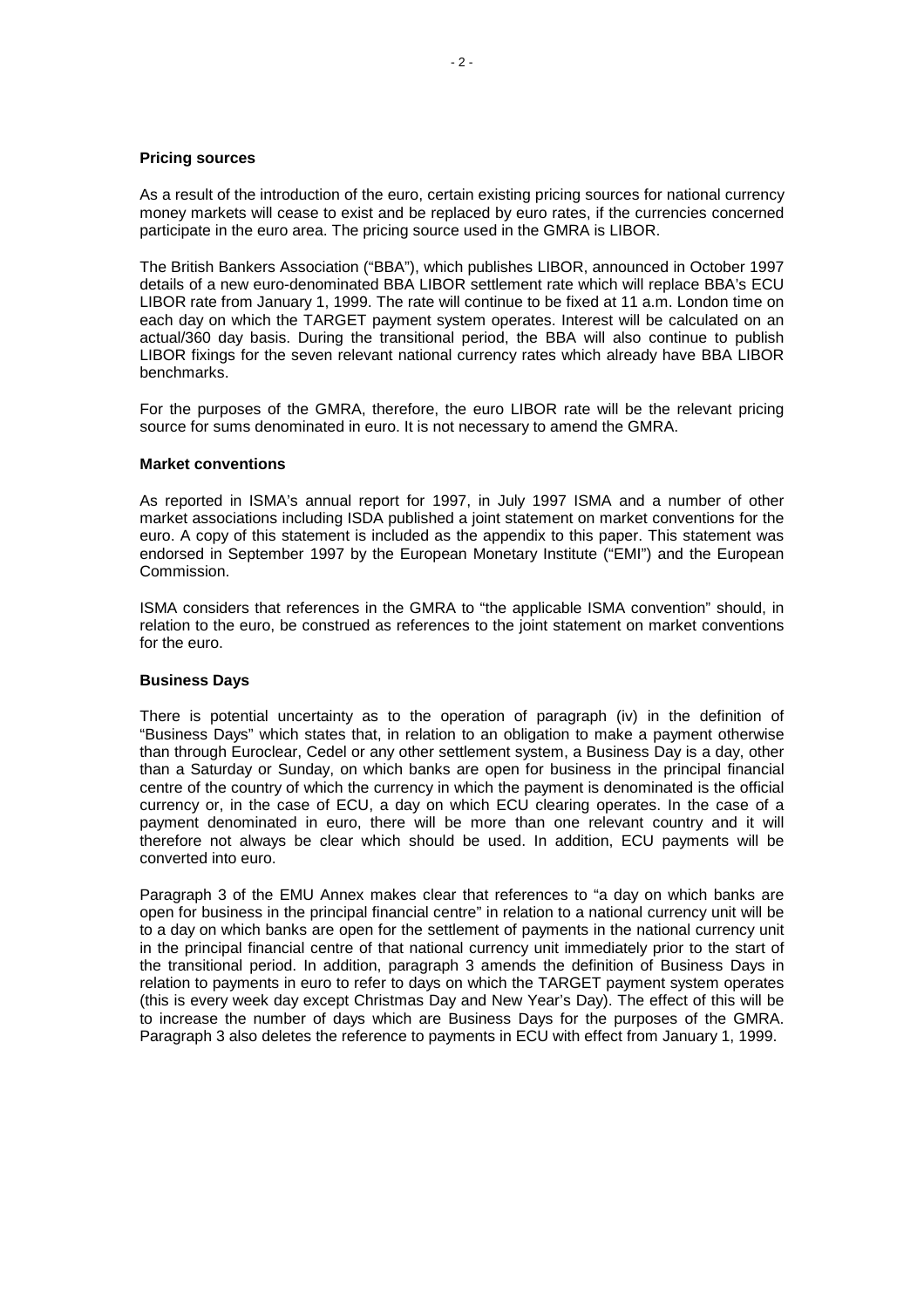#### **Pricing sources**

As a result of the introduction of the euro, certain existing pricing sources for national currency money markets will cease to exist and be replaced by euro rates, if the currencies concerned participate in the euro area. The pricing source used in the GMRA is LIBOR.

The British Bankers Association ("BBA"), which publishes LIBOR, announced in October 1997 details of a new euro-denominated BBA LIBOR settlement rate which will replace BBA's ECU LIBOR rate from January 1, 1999. The rate will continue to be fixed at 11 a.m. London time on each day on which the TARGET payment system operates. Interest will be calculated on an actual/360 day basis. During the transitional period, the BBA will also continue to publish LIBOR fixings for the seven relevant national currency rates which already have BBA LIBOR benchmarks.

For the purposes of the GMRA, therefore, the euro LIBOR rate will be the relevant pricing source for sums denominated in euro. It is not necessary to amend the GMRA.

#### **Market conventions**

As reported in ISMA's annual report for 1997, in July 1997 ISMA and a number of other market associations including ISDA published a joint statement on market conventions for the euro. A copy of this statement is included as the appendix to this paper. This statement was endorsed in September 1997 by the European Monetary Institute ("EMI") and the European Commission.

ISMA considers that references in the GMRA to "the applicable ISMA convention" should, in relation to the euro, be construed as references to the joint statement on market conventions for the euro.

## **Business Days**

There is potential uncertainty as to the operation of paragraph (iv) in the definition of "Business Days" which states that, in relation to an obligation to make a payment otherwise than through Euroclear, Cedel or any other settlement system, a Business Day is a day, other than a Saturday or Sunday, on which banks are open for business in the principal financial centre of the country of which the currency in which the payment is denominated is the official currency or, in the case of ECU, a day on which ECU clearing operates. In the case of a payment denominated in euro, there will be more than one relevant country and it will therefore not always be clear which should be used. In addition, ECU payments will be converted into euro.

Paragraph 3 of the EMU Annex makes clear that references to "a day on which banks are open for business in the principal financial centre" in relation to a national currency unit will be to a day on which banks are open for the settlement of payments in the national currency unit in the principal financial centre of that national currency unit immediately prior to the start of the transitional period. In addition, paragraph 3 amends the definition of Business Days in relation to payments in euro to refer to days on which the TARGET payment system operates (this is every week day except Christmas Day and New Year's Day). The effect of this will be to increase the number of days which are Business Days for the purposes of the GMRA. Paragraph 3 also deletes the reference to payments in ECU with effect from January 1, 1999.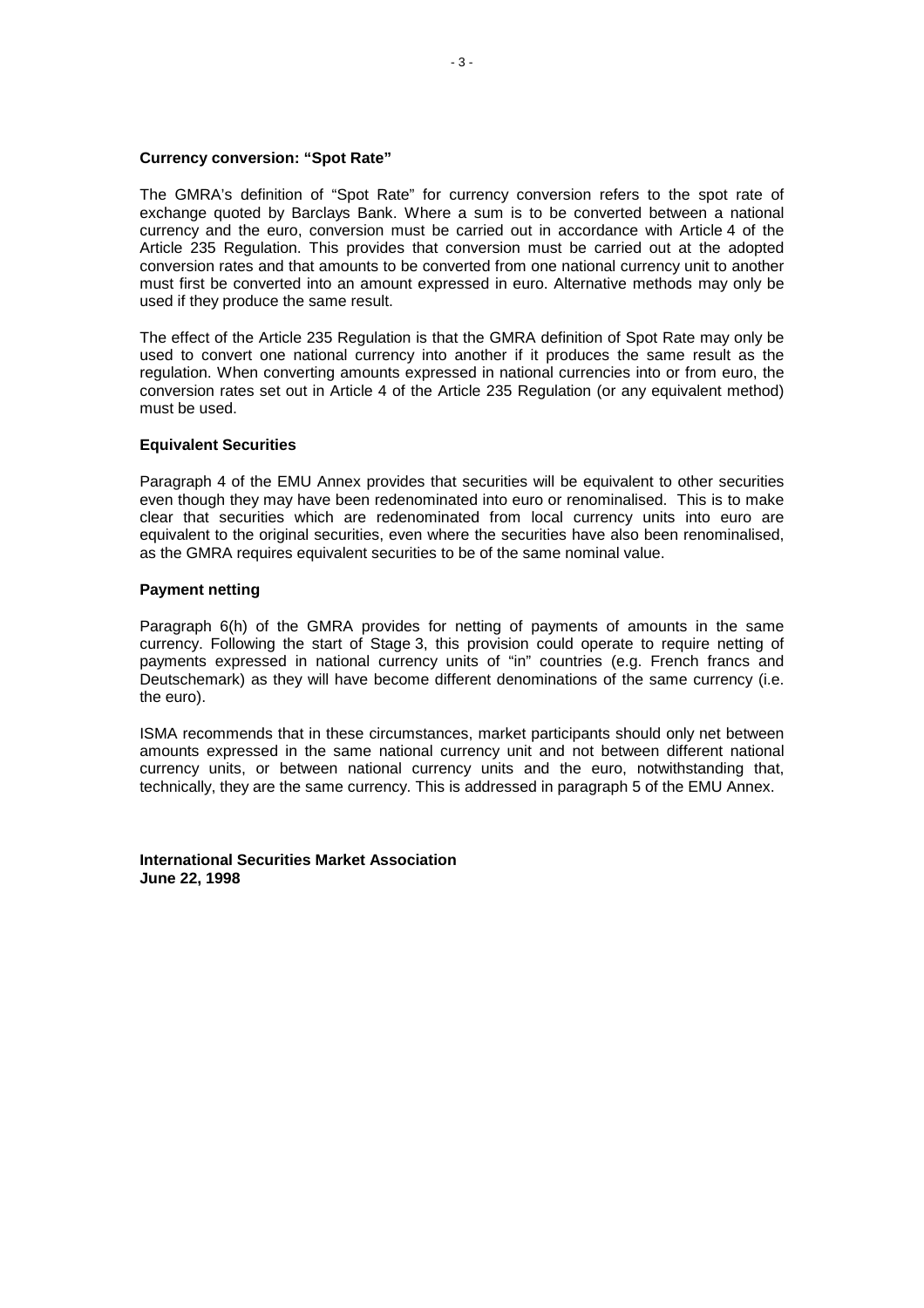#### **Currency conversion: "Spot Rate"**

The GMRA's definition of "Spot Rate" for currency conversion refers to the spot rate of exchange quoted by Barclays Bank. Where a sum is to be converted between a national currency and the euro, conversion must be carried out in accordance with Article 4 of the Article 235 Regulation. This provides that conversion must be carried out at the adopted conversion rates and that amounts to be converted from one national currency unit to another must first be converted into an amount expressed in euro. Alternative methods may only be used if they produce the same result.

The effect of the Article 235 Regulation is that the GMRA definition of Spot Rate may only be used to convert one national currency into another if it produces the same result as the regulation. When converting amounts expressed in national currencies into or from euro, the conversion rates set out in Article 4 of the Article 235 Regulation (or any equivalent method) must be used.

#### **Equivalent Securities**

Paragraph 4 of the EMU Annex provides that securities will be equivalent to other securities even though they may have been redenominated into euro or renominalised. This is to make clear that securities which are redenominated from local currency units into euro are equivalent to the original securities, even where the securities have also been renominalised, as the GMRA requires equivalent securities to be of the same nominal value.

#### **Payment netting**

Paragraph 6(h) of the GMRA provides for netting of payments of amounts in the same currency. Following the start of Stage 3, this provision could operate to require netting of payments expressed in national currency units of "in" countries (e.g. French francs and Deutschemark) as they will have become different denominations of the same currency (i.e. the euro).

ISMA recommends that in these circumstances, market participants should only net between amounts expressed in the same national currency unit and not between different national currency units, or between national currency units and the euro, notwithstanding that, technically, they are the same currency. This is addressed in paragraph 5 of the EMU Annex.

**International Securities Market Association June 22, 1998**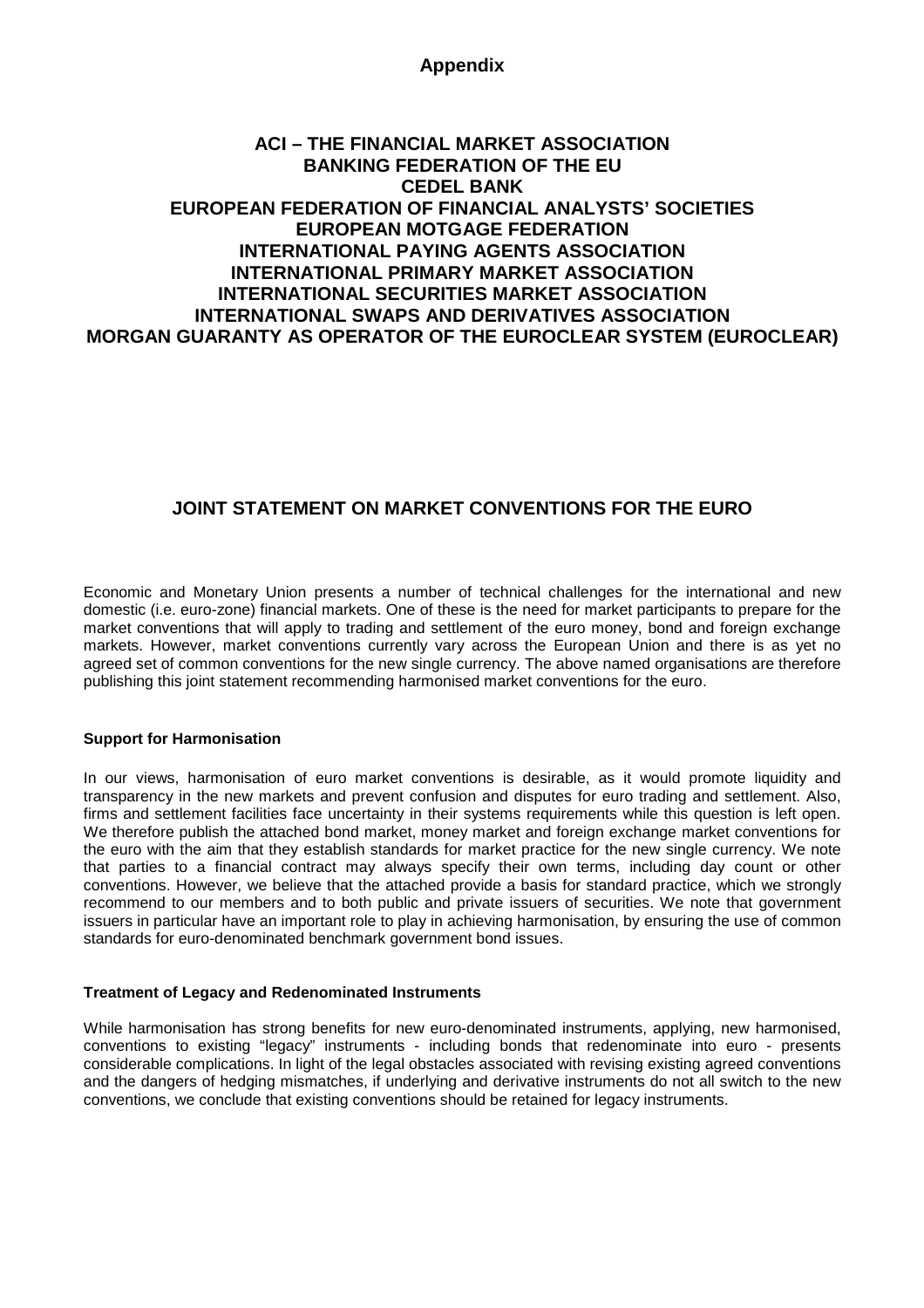# **Appendix**

# **ACI – THE FINANCIAL MARKET ASSOCIATION BANKING FEDERATION OF THE EU CEDEL BANK EUROPEAN FEDERATION OF FINANCIAL ANALYSTS' SOCIETIES EUROPEAN MOTGAGE FEDERATION INTERNATIONAL PAYING AGENTS ASSOCIATION INTERNATIONAL PRIMARY MARKET ASSOCIATION INTERNATIONAL SECURITIES MARKET ASSOCIATION INTERNATIONAL SWAPS AND DERIVATIVES ASSOCIATION MORGAN GUARANTY AS OPERATOR OF THE EUROCLEAR SYSTEM (EUROCLEAR)**

# **JOINT STATEMENT ON MARKET CONVENTIONS FOR THE EURO**

Economic and Monetary Union presents a number of technical challenges for the international and new domestic (i.e. euro-zone) financial markets. One of these is the need for market participants to prepare for the market conventions that will apply to trading and settlement of the euro money, bond and foreign exchange markets. However, market conventions currently vary across the European Union and there is as yet no agreed set of common conventions for the new single currency. The above named organisations are therefore publishing this joint statement recommending harmonised market conventions for the euro.

# **Support for Harmonisation**

In our views, harmonisation of euro market conventions is desirable, as it would promote liquidity and transparency in the new markets and prevent confusion and disputes for euro trading and settlement. Also, firms and settlement facilities face uncertainty in their systems requirements while this question is left open. We therefore publish the attached bond market, money market and foreign exchange market conventions for the euro with the aim that they establish standards for market practice for the new single currency. We note that parties to a financial contract may always specify their own terms, including day count or other conventions. However, we believe that the attached provide a basis for standard practice, which we strongly recommend to our members and to both public and private issuers of securities. We note that government issuers in particular have an important role to play in achieving harmonisation, by ensuring the use of common standards for euro-denominated benchmark government bond issues.

# **Treatment of Legacy and Redenominated Instruments**

While harmonisation has strong benefits for new euro-denominated instruments, applying, new harmonised, conventions to existing "legacy" instruments - including bonds that redenominate into euro - presents considerable complications. In light of the legal obstacles associated with revising existing agreed conventions and the dangers of hedging mismatches, if underlying and derivative instruments do not all switch to the new conventions, we conclude that existing conventions should be retained for legacy instruments.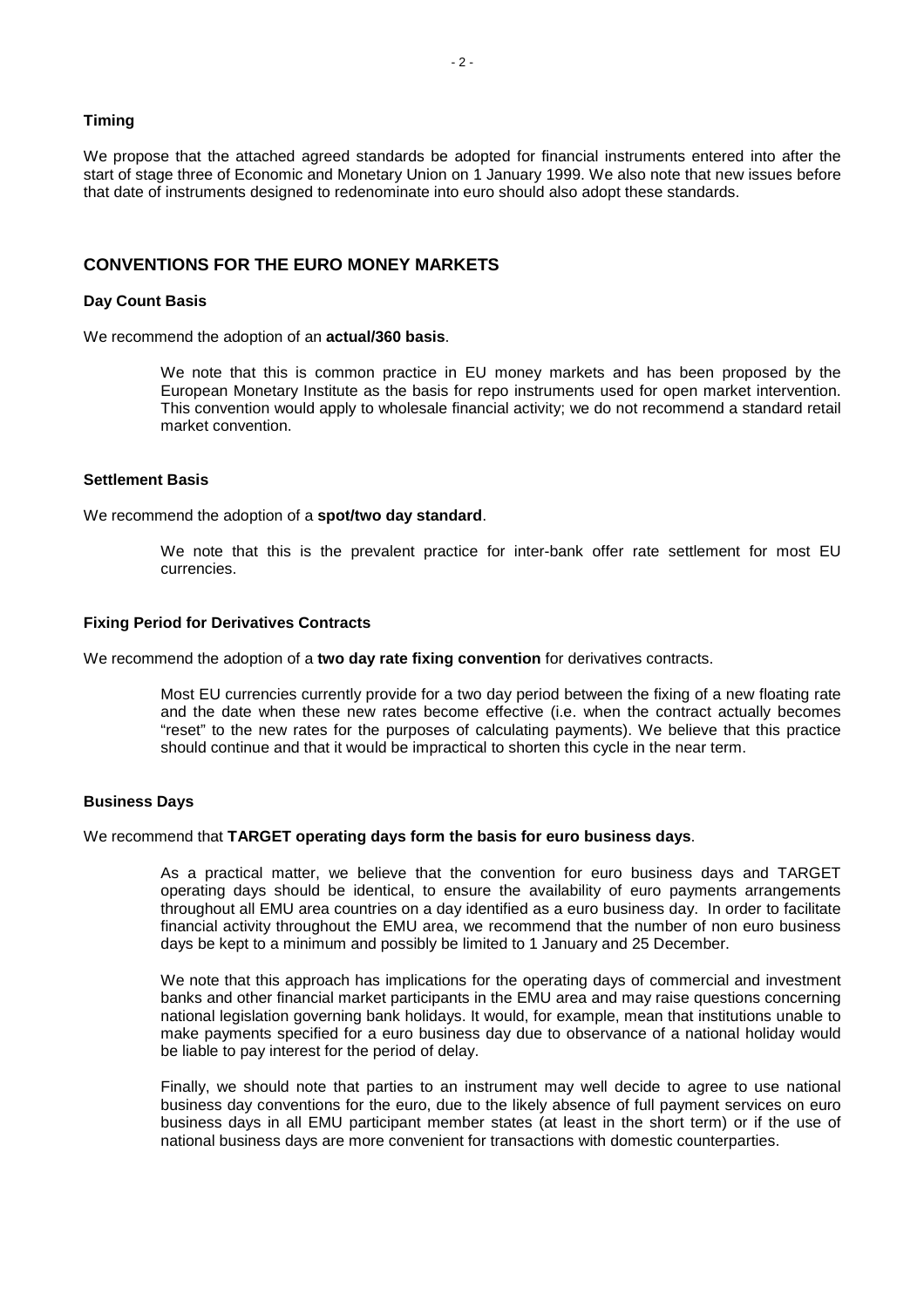## **Timing**

We propose that the attached agreed standards be adopted for financial instruments entered into after the start of stage three of Economic and Monetary Union on 1 January 1999. We also note that new issues before that date of instruments designed to redenominate into euro should also adopt these standards.

# **CONVENTIONS FOR THE EURO MONEY MARKETS**

#### **Day Count Basis**

We recommend the adoption of an **actual/360 basis**.

We note that this is common practice in EU money markets and has been proposed by the European Monetary Institute as the basis for repo instruments used for open market intervention. This convention would apply to wholesale financial activity; we do not recommend a standard retail market convention.

#### **Settlement Basis**

We recommend the adoption of a **spot/two day standard**.

We note that this is the prevalent practice for inter-bank offer rate settlement for most EU currencies.

#### **Fixing Period for Derivatives Contracts**

We recommend the adoption of a **two day rate fixing convention** for derivatives contracts.

Most EU currencies currently provide for a two day period between the fixing of a new floating rate and the date when these new rates become effective (i.e. when the contract actually becomes "reset" to the new rates for the purposes of calculating payments). We believe that this practice should continue and that it would be impractical to shorten this cycle in the near term.

#### **Business Days**

#### We recommend that **TARGET operating days form the basis for euro business days**.

As a practical matter, we believe that the convention for euro business days and TARGET operating days should be identical, to ensure the availability of euro payments arrangements throughout all EMU area countries on a day identified as a euro business day. In order to facilitate financial activity throughout the EMU area, we recommend that the number of non euro business days be kept to a minimum and possibly be limited to 1 January and 25 December.

We note that this approach has implications for the operating days of commercial and investment banks and other financial market participants in the EMU area and may raise questions concerning national legislation governing bank holidays. It would, for example, mean that institutions unable to make payments specified for a euro business day due to observance of a national holiday would be liable to pay interest for the period of delay.

Finally, we should note that parties to an instrument may well decide to agree to use national business day conventions for the euro, due to the likely absence of full payment services on euro business days in all EMU participant member states (at least in the short term) or if the use of national business days are more convenient for transactions with domestic counterparties.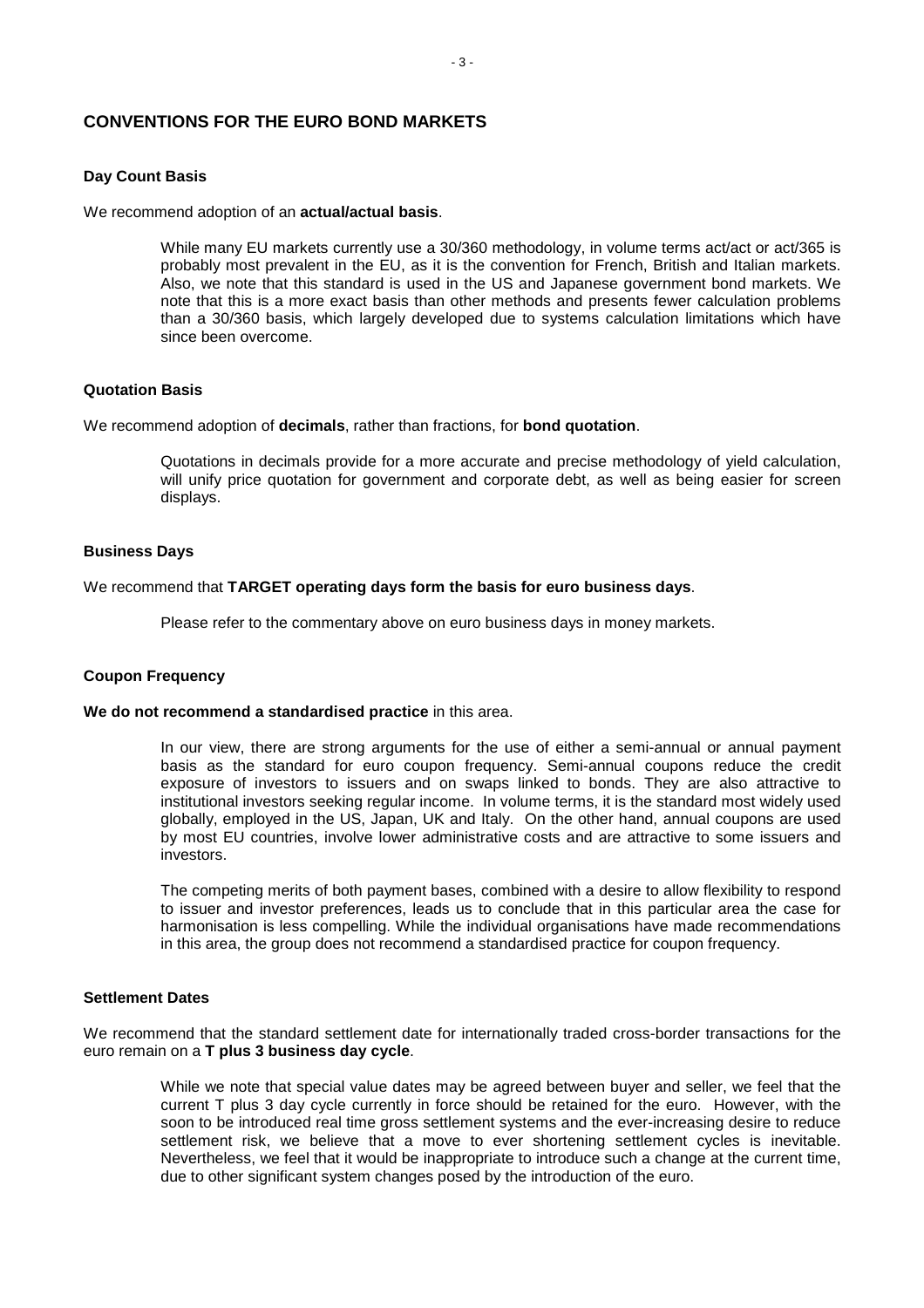# **CONVENTIONS FOR THE EURO BOND MARKETS**

## **Day Count Basis**

We recommend adoption of an **actual/actual basis**.

While many EU markets currently use a 30/360 methodology, in volume terms act/act or act/365 is probably most prevalent in the EU, as it is the convention for French, British and Italian markets. Also, we note that this standard is used in the US and Japanese government bond markets. We note that this is a more exact basis than other methods and presents fewer calculation problems than a 30/360 basis, which largely developed due to systems calculation limitations which have since been overcome.

## **Quotation Basis**

We recommend adoption of **decimals**, rather than fractions, for **bond quotation**.

Quotations in decimals provide for a more accurate and precise methodology of yield calculation, will unify price quotation for government and corporate debt, as well as being easier for screen displays.

# **Business Days**

## We recommend that **TARGET operating days form the basis for euro business days**.

Please refer to the commentary above on euro business days in money markets.

## **Coupon Frequency**

#### **We do not recommend a standardised practice** in this area.

In our view, there are strong arguments for the use of either a semi-annual or annual payment basis as the standard for euro coupon frequency. Semi-annual coupons reduce the credit exposure of investors to issuers and on swaps linked to bonds. They are also attractive to institutional investors seeking regular income. In volume terms, it is the standard most widely used globally, employed in the US, Japan, UK and Italy. On the other hand, annual coupons are used by most EU countries, involve lower administrative costs and are attractive to some issuers and investors.

The competing merits of both payment bases, combined with a desire to allow flexibility to respond to issuer and investor preferences, leads us to conclude that in this particular area the case for harmonisation is less compelling. While the individual organisations have made recommendations in this area, the group does not recommend a standardised practice for coupon frequency.

### **Settlement Dates**

We recommend that the standard settlement date for internationally traded cross-border transactions for the euro remain on a **T plus 3 business day cycle**.

> While we note that special value dates may be agreed between buyer and seller, we feel that the current T plus 3 day cycle currently in force should be retained for the euro. However, with the soon to be introduced real time gross settlement systems and the ever-increasing desire to reduce settlement risk, we believe that a move to ever shortening settlement cycles is inevitable. Nevertheless, we feel that it would be inappropriate to introduce such a change at the current time, due to other significant system changes posed by the introduction of the euro.